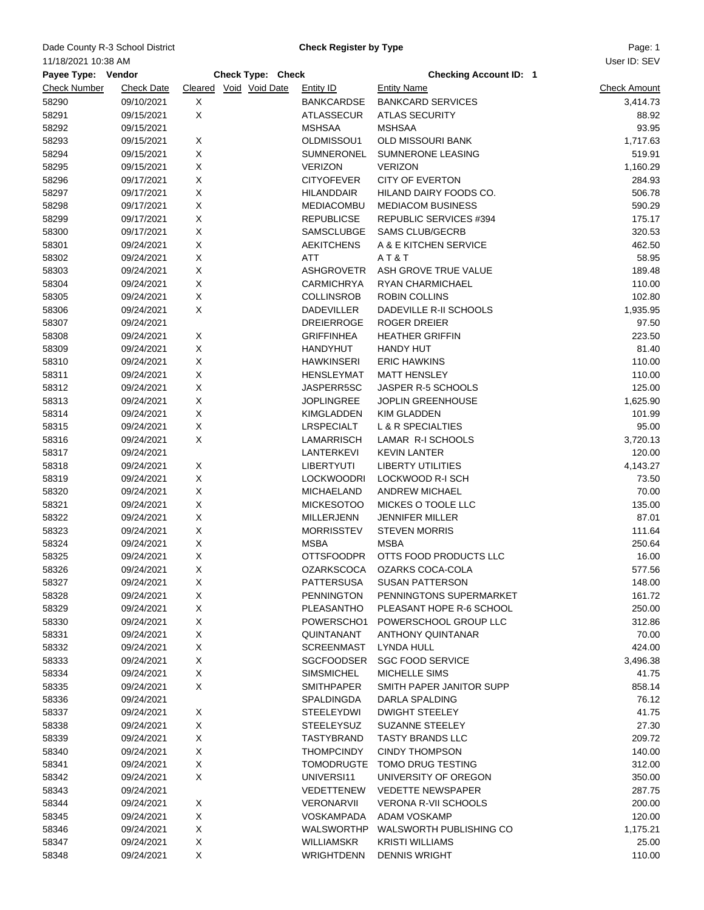## Dade County R-3 School District **Example 20 Check Register by Type** Page: 1

**Check Register by Type**

User ID: SEV

| 11/18/2021 10:38 AM |                   |                   |                        |                   |                               | User ID: SEV        |
|---------------------|-------------------|-------------------|------------------------|-------------------|-------------------------------|---------------------|
| Payee Type: Vendor  |                   | Check Type: Check |                        |                   | <b>Checking Account ID: 1</b> |                     |
| <b>Check Number</b> | <b>Check Date</b> |                   | Cleared Void Void Date | Entity ID         | <b>Entity Name</b>            | <b>Check Amount</b> |
| 58290               | 09/10/2021        | X                 |                        | <b>BANKCARDSE</b> | <b>BANKCARD SERVICES</b>      | 3,414.73            |
| 58291               | 09/15/2021        | X                 |                        | <b>ATLASSECUR</b> | <b>ATLAS SECURITY</b>         | 88.92               |
| 58292               | 09/15/2021        |                   |                        | <b>MSHSAA</b>     | <b>MSHSAA</b>                 | 93.95               |
| 58293               | 09/15/2021        | X                 |                        | OLDMISSOU1        | OLD MISSOURI BANK             | 1,717.63            |
| 58294               | 09/15/2021        | X                 |                        | SUMNERONEL        | SUMNERONE LEASING             | 519.91              |
| 58295               | 09/15/2021        | Χ                 |                        | <b>VERIZON</b>    | <b>VERIZON</b>                | 1,160.29            |
| 58296               | 09/17/2021        | Χ                 |                        | <b>CITYOFEVER</b> | <b>CITY OF EVERTON</b>        | 284.93              |
| 58297               | 09/17/2021        | X                 |                        | <b>HILANDDAIR</b> | HILAND DAIRY FOODS CO.        | 506.78              |
| 58298               | 09/17/2021        | Χ                 |                        | MEDIACOMBU        | <b>MEDIACOM BUSINESS</b>      | 590.29              |
| 58299               | 09/17/2021        | X                 |                        | <b>REPUBLICSE</b> | REPUBLIC SERVICES #394        | 175.17              |
| 58300               | 09/17/2021        | X                 |                        | SAMSCLUBGE        | <b>SAMS CLUB/GECRB</b>        | 320.53              |
| 58301               | 09/24/2021        | X                 |                        | <b>AEKITCHENS</b> | A & E KITCHEN SERVICE         | 462.50              |
| 58302               | 09/24/2021        | X                 |                        | ATT               | AT&T                          | 58.95               |
| 58303               | 09/24/2021        | X                 |                        | <b>ASHGROVETR</b> | ASH GROVE TRUE VALUE          | 189.48              |
| 58304               | 09/24/2021        | Χ                 |                        | <b>CARMICHRYA</b> | RYAN CHARMICHAEL              | 110.00              |
| 58305               | 09/24/2021        | Χ                 |                        | <b>COLLINSROB</b> | ROBIN COLLINS                 | 102.80              |
| 58306               | 09/24/2021        | X                 |                        | <b>DADEVILLER</b> | DADEVILLE R-II SCHOOLS        | 1,935.95            |
|                     |                   |                   |                        |                   | <b>ROGER DREIER</b>           |                     |
| 58307               | 09/24/2021        |                   |                        | <b>DREIERROGE</b> |                               | 97.50               |
| 58308               | 09/24/2021        | X                 |                        | <b>GRIFFINHEA</b> | <b>HEATHER GRIFFIN</b>        | 223.50              |
| 58309               | 09/24/2021        | X                 |                        | <b>HANDYHUT</b>   | <b>HANDY HUT</b>              | 81.40               |
| 58310               | 09/24/2021        | X                 |                        | <b>HAWKINSERI</b> | <b>ERIC HAWKINS</b>           | 110.00              |
| 58311               | 09/24/2021        | X                 |                        | <b>HENSLEYMAT</b> | <b>MATT HENSLEY</b>           | 110.00              |
| 58312               | 09/24/2021        | X                 |                        | JASPERR5SC        | JASPER R-5 SCHOOLS            | 125.00              |
| 58313               | 09/24/2021        | Χ                 |                        | <b>JOPLINGREE</b> | JOPLIN GREENHOUSE             | 1,625.90            |
| 58314               | 09/24/2021        | X                 |                        | KIMGLADDEN        | <b>KIM GLADDEN</b>            | 101.99              |
| 58315               | 09/24/2021        | Χ                 |                        | LRSPECIALT        | L & R SPECIALTIES             | 95.00               |
| 58316               | 09/24/2021        | X                 |                        | LAMARRISCH        | LAMAR R-I SCHOOLS             | 3,720.13            |
| 58317               | 09/24/2021        |                   |                        | LANTERKEVI        | <b>KEVIN LANTER</b>           | 120.00              |
| 58318               | 09/24/2021        | X                 |                        | <b>LIBERTYUTI</b> | <b>LIBERTY UTILITIES</b>      | 4,143.27            |
| 58319               | 09/24/2021        | X                 |                        | <b>LOCKWOODRI</b> | LOCKWOOD R-I SCH              | 73.50               |
| 58320               | 09/24/2021        | X                 |                        | <b>MICHAELAND</b> | <b>ANDREW MICHAEL</b>         | 70.00               |
| 58321               | 09/24/2021        | X                 |                        | <b>MICKESOTOO</b> | <b>MICKES O TOOLE LLC</b>     | 135.00              |
| 58322               | 09/24/2021        | X                 |                        | MILLERJENN        | <b>JENNIFER MILLER</b>        | 87.01               |
| 58323               | 09/24/2021        | X                 |                        | <b>MORRISSTEV</b> | <b>STEVEN MORRIS</b>          | 111.64              |
| 58324               | 09/24/2021        | X                 |                        | <b>MSBA</b>       | <b>MSBA</b>                   | 250.64              |
| 58325               | 09/24/2021        | X                 |                        | <b>OTTSFOODPR</b> | OTTS FOOD PRODUCTS LLC        | 16.00               |
| 58326               | 09/24/2021        | X                 |                        | OZARKSCOCA        | OZARKS COCA-COLA              | 577.56              |
| 58327               | 09/24/2021        | X                 |                        | PATTERSUSA        | <b>SUSAN PATTERSON</b>        | 148.00              |
| 58328               | 09/24/2021        | Х                 |                        | <b>PENNINGTON</b> | PENNINGTONS SUPERMARKET       | 161.72              |
| 58329               | 09/24/2021        | X                 |                        | PLEASANTHO        | PLEASANT HOPE R-6 SCHOOL      | 250.00              |
| 58330               | 09/24/2021        | X                 |                        | POWERSCHO1        | POWERSCHOOL GROUP LLC         | 312.86              |
| 58331               | 09/24/2021        | X                 |                        | QUINTANANT        | <b>ANTHONY QUINTANAR</b>      | 70.00               |
| 58332               | 09/24/2021        | X                 |                        | <b>SCREENMAST</b> | LYNDA HULL                    | 424.00              |
| 58333               | 09/24/2021        | X                 |                        | <b>SGCFOODSER</b> | <b>SGC FOOD SERVICE</b>       | 3,496.38            |
| 58334               | 09/24/2021        | X                 |                        | <b>SIMSMICHEL</b> | MICHELLE SIMS                 | 41.75               |
| 58335               | 09/24/2021        | X                 |                        | <b>SMITHPAPER</b> | SMITH PAPER JANITOR SUPP      | 858.14              |
| 58336               | 09/24/2021        |                   |                        | SPALDINGDA        | DARLA SPALDING                | 76.12               |
| 58337               | 09/24/2021        | Х                 |                        | STEELEYDWI        | <b>DWIGHT STEELEY</b>         | 41.75               |
| 58338               | 09/24/2021        | X                 |                        | <b>STEELEYSUZ</b> | SUZANNE STEELEY               | 27.30               |
| 58339               | 09/24/2021        | X                 |                        | TASTYBRAND        | <b>TASTY BRANDS LLC</b>       | 209.72              |
| 58340               | 09/24/2021        | X                 |                        | <b>THOMPCINDY</b> | <b>CINDY THOMPSON</b>         | 140.00              |
| 58341               | 09/24/2021        | X                 |                        | <b>TOMODRUGTE</b> | TOMO DRUG TESTING             | 312.00              |
| 58342               | 09/24/2021        | X                 |                        | UNIVERSI11        | UNIVERSITY OF OREGON          | 350.00              |
| 58343               | 09/24/2021        |                   |                        | VEDETTENEW        | <b>VEDETTE NEWSPAPER</b>      | 287.75              |
| 58344               | 09/24/2021        | Х                 |                        | VERONARVII        | VERONA R-VII SCHOOLS          | 200.00              |
| 58345               | 09/24/2021        | X                 |                        | VOSKAMPADA        | ADAM VOSKAMP                  | 120.00              |
| 58346               | 09/24/2021        | X                 |                        | WALSWORTHP        | WALSWORTH PUBLISHING CO       | 1,175.21            |
| 58347               | 09/24/2021        | X                 |                        | <b>WILLIAMSKR</b> | KRISTI WILLIAMS               | 25.00               |
| 58348               | 09/24/2021        | X                 |                        | WRIGHTDENN        | <b>DENNIS WRIGHT</b>          | 110.00              |